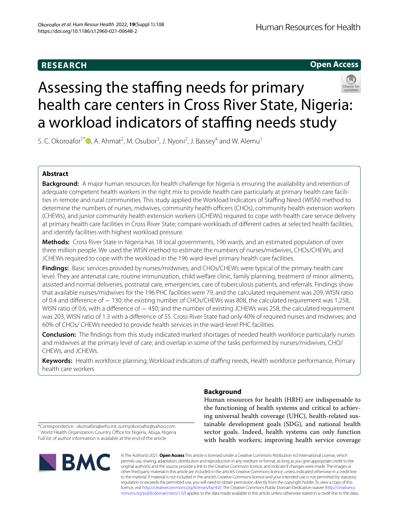# **RESEARCH**

# **Open Access**



# Assessing the staffing needs for primary health care centers in Cross River State, Nigeria: a workload indicators of staffing needs study

S. C. Okoroafor<sup>1\*</sup><sup>®</sup>[,](http://orcid.org/0000-0003-4690-485X) A. Ahmat<sup>2</sup>, M. Osubor<sup>3</sup>, J. Nyoni<sup>2</sup>, J. Bassey<sup>4</sup> and W. Alemu<sup>1</sup>

# **Abstract**

**Background:** A major human resources for health challenge for Nigeria is ensuring the availability and retention of adequate competent health workers in the right mix to provide health care particularly at primary health care facilities in remote and rural communities. This study applied the Workload Indicators of Stafng Need (WISN) method to determine the numbers of nurses, midwives, community health officers (CHOs), community health extension workers (CHEWs), and junior community health extension workers (JCHEWs) required to cope with health care service delivery at primary health care facilities in Cross River State; compare workloads of diferent cadres at selected health facilities, and identify facilities with highest workload pressure.

**Methods:** Cross River State in Nigeria has 18 local governments, 196 wards, and an estimated population of over three million people. We used the WISN method to estimate the numbers of nurses/midwives, CHOs/CHEWs, and JCHEWs required to cope with the workload in the 196 ward-level primary health care facilities.

**Findings:** Basic services provided by nurses/midwives, and CHOs/CHEWs were typical of the primary health care level. They are antenatal care, routine immunization, child welfare clinic, family planning, treatment of minor ailments, assisted and normal deliveries, postnatal care, emergencies, care of tuberculosis patients, and referrals. Findings show that available nurses/midwives for the 196 PHC facilities were 79, and the calculated requirement was 209, WISN ratio of 0.4 and diference of − 130; the existing number of CHOs/CHEWs was 808, the calculated requirement was 1,258, WISN ratio of 0.6, with a difference of − 450; and the number of existing JCHEWs was 258, the calculated requirement was 203, WISN ratio of 1.3 with a diference of 55. Cross River State had only 40% of required nurses and midwives; and 60% of CHOs/ CHEWs needed to provide health services in the ward-level PHC facilities.

**Conclusion:** The fndings from this study indicated marked shortages of needed health workforce particularly nurses and midwives at the primary level of care; and overlap in some of the tasks performed by nurses/midwives, CHO/ CHEWs, and JCHEWs.

**Keywords:** Health workforce planning, Workload indicators of stafng needs, Health workforce performance, Primary health care workers

# **Background**

Human resources for health (HRH) are indispensable to the functioning of health systems and critical to achieving universal health coverage (UHC), health-related sustainable development goals (SDG), and national health sector goals. Indeed, health systems can only function with health workers; improving health service coverage

\*Correspondence: okoroafors@who.int; sunnyokoroafor@yahoo.com <sup>1</sup> World Health Organization Country Office for Nigeria, Abuja, Nigeria Full list of author information is available at the end of the article



© The Author(s) 2021. **Open Access** This article is licensed under a Creative Commons Attribution 4.0 International License, which permits use, sharing, adaptation, distribution and reproduction in any medium or format, as long as you give appropriate credit to the original author(s) and the source, provide a link to the Creative Commons licence, and indicate if changes were made. The images or other third party material in this article are included in the article's Creative Commons licence, unless indicated otherwise in a credit line to the material. If material is not included in the article's Creative Commons licence and your intended use is not permitted by statutory regulation or exceeds the permitted use, you will need to obtain permission directly from the copyright holder. To view a copy of this licence, visit [http://creativecommons.org/licenses/by/4.0/.](http://creativecommons.org/licenses/by/4.0/) The Creative Commons Public Domain Dedication waiver ([http://creativeco](http://creativecommons.org/publicdomain/zero/1.0/) [mmons.org/publicdomain/zero/1.0/](http://creativecommons.org/publicdomain/zero/1.0/)) applies to the data made available in this article, unless otherwise stated in a credit line to the data.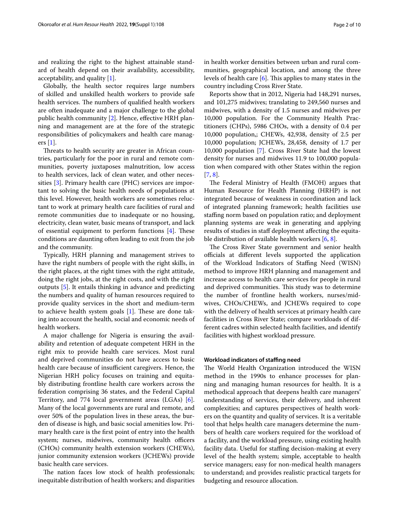and realizing the right to the highest attainable standard of health depend on their availability, accessibility, acceptability, and quality [\[1\]](#page-8-0).

Globally, the health sector requires large numbers of skilled and unskilled health workers to provide safe health services. The numbers of qualified health workers are often inadequate and a major challenge to the global public health community [\[2](#page-8-1)]. Hence, effective HRH planning and management are at the fore of the strategic responsibilities of policymakers and health care managers [\[1](#page-8-0)].

Threats to health security are greater in African countries, particularly for the poor in rural and remote communities, poverty juxtaposes malnutrition, low access to health services, lack of clean water, and other necessities [[3](#page-8-2)]. Primary health care (PHC) services are important to solving the basic health needs of populations at this level. However, health workers are sometimes reluctant to work at primary health care facilities of rural and remote communities due to inadequate or no housing, electricity, clean water, basic means of transport, and lack of essential equipment to perform functions  $[4]$  $[4]$ . These conditions are daunting often leading to exit from the job and the community.

Typically, HRH planning and management strives to have the right numbers of people with the right skills, in the right places, at the right times with the right attitude, doing the right jobs, at the right costs, and with the right outputs [\[5](#page-8-4)]. It entails thinking in advance and predicting the numbers and quality of human resources required to provide quality services in the short and medium-term to achieve health system goals  $[1]$  $[1]$ . These are done taking into account the health, social and economic needs of health workers.

A major challenge for Nigeria is ensuring the availability and retention of adequate competent HRH in the right mix to provide health care services. Most rural and deprived communities do not have access to basic health care because of insufficient caregivers. Hence, the Nigerian HRH policy focuses on training and equitably distributing frontline health care workers across the federation comprising 36 states, and the Federal Capital Territory, and 774 local government areas (LGAs) [\[6](#page-8-5)]. Many of the local governments are rural and remote, and over 50% of the population lives in these areas, the burden of disease is high, and basic social amenities low. Primary health care is the frst point of entry into the health system; nurses, midwives, community health officers (CHOs) community health extension workers (CHEWs), junior community extension workers (JCHEWs) provide basic health care services.

The nation faces low stock of health professionals; inequitable distribution of health workers; and disparities in health worker densities between urban and rural communities, geographical location, and among the three levels of health care  $[6]$  $[6]$ . This applies to many states in the country including Cross River State.

Reports show that in 2012, Nigeria had 148,291 nurses, and 101,275 midwives; translating to 249,560 nurses and midwives, with a density of 1.5 nurses and midwives per 10,000 population. For the Community Health Practitioners (CHPs), 5986 CHOs, with a density of 0.4 per 10,000 population,; CHEWs, 42,938, density of 2.5 per 10,000 population; JCHEWs, 28,458, density of 1.7 per 10,000 population [[7\]](#page-9-0). Cross River State had the lowest density for nurses and midwives 11.9 to 100,000 population when compared with other States within the region [[7,](#page-9-0) [8](#page-9-1)].

The Federal Ministry of Health (FMOH) argues that Human Resource for Health Planning (HRHP) is not integrated because of weakness in coordination and lack of integrated planning framework; health facilities use staffing norm based on population ratio; and deployment planning systems are weak in generating and applying results of studies in staf deployment afecting the equitable distribution of available health workers [[6,](#page-8-5) [8](#page-9-1)].

The Cross River State government and senior health officials at different levels supported the application of the Workload Indicators of Stafng Need (WISN) method to improve HRH planning and management and increase access to health care services for people in rural and deprived communities. This study was to determine the number of frontline health workers, nurses/midwives, CHOs/CHEWs, and JCHEWs required to cope with the delivery of health services at primary health care facilities in Cross River State; compare workloads of different cadres within selected health facilities, and identify facilities with highest workload pressure.

#### **Workload indicators of stafng need**

The World Health Organization introduced the WISN method in the 1990s to enhance processes for planning and managing human resources for health. It is a methodical approach that deepens health care managers' understanding of services, their delivery, and inherent complexities; and captures perspectives of health workers on the quantity and quality of services. It is a veritable tool that helps health care managers determine the numbers of health care workers required for the workload of a facility, and the workload pressure, using existing health facility data. Useful for staffing decision-making at every level of the health system; simple, acceptable to health service managers; easy for non-medical health managers to understand; and provides realistic practical targets for budgeting and resource allocation.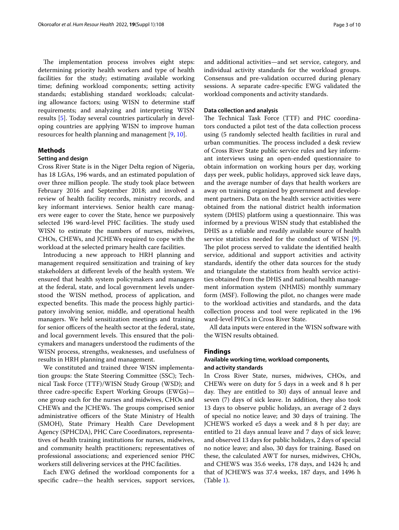The implementation process involves eight steps: determining priority health workers and type of health facilities for the study; estimating available working time; defning workload components; setting activity standards; establishing standard workloads; calculating allowance factors; using WISN to determine staf requirements; and analyzing and interpreting WISN results [\[5\]](#page-8-4). Today several countries particularly in developing countries are applying WISN to improve human resources for health planning and management [\[9](#page-9-2), [10\]](#page-9-3).

# **Methods**

## **Setting and design**

Cross River State is in the Niger Delta region of Nigeria, has 18 LGAs, 196 wards, and an estimated population of over three million people. The study took place between February 2016 and September 2018; and involved a review of health facility records, ministry records, and key informant interviews. Senior health care managers were eager to cover the State, hence we purposively selected 196 ward-level PHC facilities. The study used WISN to estimate the numbers of nurses, midwives, CHOs, CHEWs, and JCHEWs required to cope with the workload at the selected primary health care facilities.

Introducing a new approach to HRH planning and management required sensitization and training of key stakeholders at diferent levels of the health system. We ensured that health system policymakers and managers at the federal, state, and local government levels understood the WISN method, process of application, and expected benefits. This made the process highly participatory involving senior, middle, and operational health managers. We held sensitization meetings and training for senior officers of the health sector at the federal, state, and local government levels. This ensured that the policymakers and managers understood the rudiments of the WISN process, strengths, weaknesses, and usefulness of results in HRH planning and management.

We constituted and trained three WISN implementation groups: the State Steering Committee (SSC); Technical Task Force (TTF)/WISN Study Group (WSD); and three cadre-specifc Expert Working Groups (EWGs) one group each for the nurses and midwives, CHOs and CHEWs and the JCHEWs. The groups comprised senior administrative officers of the State Ministry of Health (SMOH), State Primary Health Care Development Agency (SPHCDA), PHC Care Coordinators, representatives of health training institutions for nurses, midwives, and community health practitioners; representatives of professional associations; and experienced senior PHC workers still delivering services at the PHC facilities.

Each EWG defned the workload components for a specifc cadre—the health services, support services,

and additional activities—and set service, category, and individual activity standards for the workload groups. Consensus and pre-validation occurred during plenary sessions. A separate cadre-specifc EWG validated the workload components and activity standards.

## **Data collection and analysis**

The Technical Task Force (TTF) and PHC coordinators conducted a pilot test of the data collection process using (5 randomly selected health facilities in rural and urban communities. The process included a desk review of Cross River State public service rules and key informant interviews using an open-ended questionnaire to obtain information on working hours per day, working days per week, public holidays, approved sick leave days, and the average number of days that health workers are away on training organized by government and development partners. Data on the health service activities were obtained from the national district health information system (DHIS) platform using a questionnaire. This was informed by a previous WISN study that established the DHIS as a reliable and readily available source of health service statistics needed for the conduct of WISN [\[9](#page-9-2)]. The pilot process served to validate the identified health service, additional and support activities and activity standards, identify the other data sources for the study and triangulate the statistics from health service activities obtained from the DHIS and national health management information system (NHMIS) monthly summary form (MSF). Following the pilot, no changes were made to the workload activities and standards, and the data collection process and tool were replicated in the 196 ward-level PHCs in Cross River State.

All data inputs were entered in the WISN software with the WISN results obtained.

#### **Findings**

# **Available working time, workload components, and activity standards**

In Cross River State, nurses, midwives, CHOs, and CHEWs were on duty for 5 days in a week and 8 h per day. They are entitled to 30) days of annual leave and seven (7) days of sick leave. In addition, they also took 13 days to observe public holidays, an average of 2 days of special no notice leave; and 30 days of training. The JCHEWS worked e5 days a week and 8 h per day; are entitled to 21 days annual leave and 7 days of sick leave; and observed 13 days for public holidays, 2 days of special no notice leave; and also, 30 days for training. Based on these, the calculated AWT for nurses, midwives, CHOs, and CHEWS was 35.6 weeks, 178 days, and 1424 h; and that of JCHEWS was 37.4 weeks, 187 days, and 1496 h (Table [1\)](#page-3-0).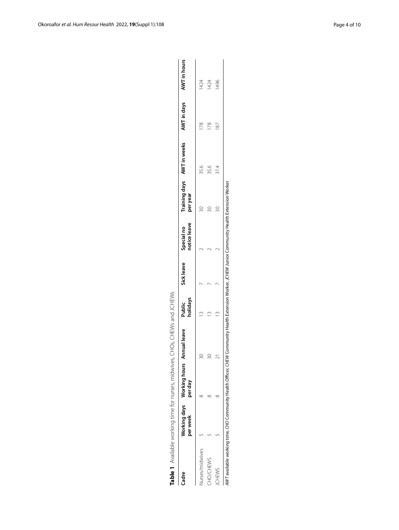| Table 1 Available working time for nurses, midwives,                                                                                             |          |                                       | CHOs, CHEWs and JCHEWs |                    |            |                            |          |                            |                          |
|--------------------------------------------------------------------------------------------------------------------------------------------------|----------|---------------------------------------|------------------------|--------------------|------------|----------------------------|----------|----------------------------|--------------------------|
| Cadre                                                                                                                                            | per week | Working days Working hours<br>per day | Annual leave           | holidays<br>Public | Sick leave | notice leave<br>Special no | per year | Training days AWT in weeks | AWT in days AWT in hours |
| lurses/midwives                                                                                                                                  |          |                                       | Z                      |                    |            |                            |          | 35.6                       | 1424                     |
| CHO/CHEWS                                                                                                                                        |          |                                       | 20                     |                    |            |                            |          | 35.6                       | 1424                     |
| CHEWS                                                                                                                                            |          |                                       |                        | m                  |            |                            |          | 37.4                       | 1496                     |
| AWT available working time, CHO Community Health Officer, CHEW Community Health Extension Worker, JCHEW Junior Community Health Extension Worker |          |                                       |                        |                    |            |                            |          |                            |                          |

<span id="page-3-0"></span>Table 1 Available working time for nurses, midwives, CHOs, CHEWs and JCHEWs

AWT available working time, CHO Community Health Officer, CHEW Community Health Extension Worker, JCHEW Junior Community Health Extension Worker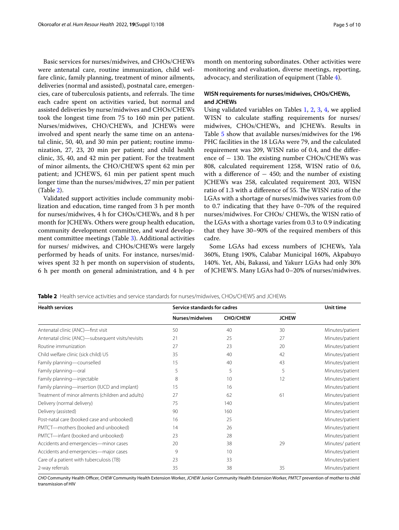Basic services for nurses/midwives, and CHOs/CHEWs were antenatal care, routine immunization, child welfare clinic, family planning, treatment of minor ailments, deliveries (normal and assisted), postnatal care, emergencies, care of tuberculosis patients, and referrals. The time each cadre spent on activities varied, but normal and assisted deliveries by nurse/midwives and CHOs/CHEWs took the longest time from 75 to 160 min per patient. Nurses/midwives, CHO/CHEWs, and JCHEWs were involved and spent nearly the same time on an antenatal clinic, 50, 40, and 30 min per patient; routine immunization, 27, 23, 20 min per patient; and child health clinic, 35, 40, and 42 min per patient. For the treatment of minor ailments, the CHO/CHEWS spent 62 min per patient; and JCHEWS, 61 min per patient spent much longer time than the nurses/midwives, 27 min per patient (Table [2](#page-4-0)).

Validated support activities include community mobilization and education, time ranged from 3 h per month for nurses/midwives, 4 h for CHOs/CHEWs, and 8 h per month for JCHEWs. Others were group health education, community development committee, and ward development committee meetings (Table [3](#page-5-0)). Additional activities for nurses/ midwives, and CHOs/CHEWs were largely performed by heads of units. For instance, nurses/midwives spent 32 h per month on supervision of students, 6 h per month on general administration, and 4 h per month on mentoring subordinates. Other activities were monitoring and evaluation, diverse meetings, reporting, advocacy, and sterilization of equipment (Table [4\)](#page-5-1).

# **WISN requirements for nurses/midwives, CHOs/CHEWs, and JCHEWs**

Using validated variables on Tables [1](#page-3-0), [2,](#page-4-0) [3,](#page-5-0) [4,](#page-5-1) we applied WISN to calculate staffing requirements for nurses/ midwives, CHOs/CHEWs, and JCHEWs. Results in Table [5](#page-6-0) show that available nurses/midwives for the 196 PHC facilities in the 18 LGAs were 79, and the calculated requirement was 209, WISN ratio of 0.4, and the diference of  $-130$ . The existing number CHOs/CHEWs was 808, calculated requirement 1258, WISN ratio of 0.6, with a difference of  $-450$ ; and the number of existing JCHEWs was 258, calculated requirement 203, WISN ratio of 1.3 with a difference of 55. The WISN ratio of the LGAs with a shortage of nurses/midwives varies from 0.0 to 0.7 indicating that they have 0–70% of the required nurses/midwives. For CHOs/ CHEWs, the WISN ratio of the LGAs with a shortage varies from 0.3 to 0.9 indicating that they have 30–90% of the required members of this cadre.

Some LGAs had excess numbers of JCHEWs, Yala 360%, Etung 190%, Calabar Municipal 160%, Akpabuyo 140%. Yet, Abi, Bakassi, and Yakurr LGAs had only 30% of JCHEWS. Many LGAs had 0–20% of nurses/midwives.

| <b>Health services</b>                            | Service standards for cadres |                 |              | Unit time       |
|---------------------------------------------------|------------------------------|-----------------|--------------|-----------------|
|                                                   | Nurses/midwives              | <b>CHO/CHEW</b> | <b>JCHEW</b> |                 |
| Antenatal clinic (ANC)-first visit                | 50                           | 40              | 30           | Minutes/patient |
| Antenatal clinic (ANC)-subsequent visits/revisits | 21                           | 25              | 27           | Minutes/patient |
| Routine immunization                              | 27                           | 23              | 20           | Minutes/patient |
| Child welfare clinic (sick child) U5              | 35                           | 40              | 42           | Minutes/patient |
| Family planning-counselled                        | 15                           | 40              | 43           | Minutes/patient |
| Family planning-oral                              | 5                            | 5               | 5            | Minutes/patient |
| Family planning-injectable                        | 8                            | 10              | 12           | Minutes/patient |
| Family planning—insertion (IUCD and implant)      | 15                           | 16              |              | Minutes/patient |
| Treatment of minor ailments (children and adults) | 27                           | 62              | 61           | Minutes/patient |
| Delivery (normal delivery)                        | 75                           | 140             |              | Minutes/patient |
| Delivery (assisted)                               | 90                           | 160             |              | Minutes/patient |
| Post-natal care (booked case and unbooked)        | 16                           | 25              |              | Minutes/patient |
| PMTCT-mothers (booked and unbooked)               | 14                           | 26              |              | Minutes/patient |
| PMTCT-infant (booked and unbooked)                | 23                           | 28              |              | Minutes/patient |
| Accidents and emergencies-minor cases             | 20                           | 38              | 29           | Minutes/patient |
| Accidents and emergencies-major cases             | 9                            | 10              |              | Minutes/patient |
| Care of a patient with tuberculosis (TB)          | 23                           | 33              |              | Minutes/patient |
| 2-way referrals                                   | 35                           | 38              | 35           | Minutes/patient |

<span id="page-4-0"></span>**Table 2** Health service activities and service standards for nurses/midwives, CHOs/CHEWS and JCHEWs

*CHO* Community Health Ofcer, *CHEW* Community Health Extension Worker, *JCHEW* Junior Community Health Extension Worker, *PMTCT* prevention of mother to child transmission of HIV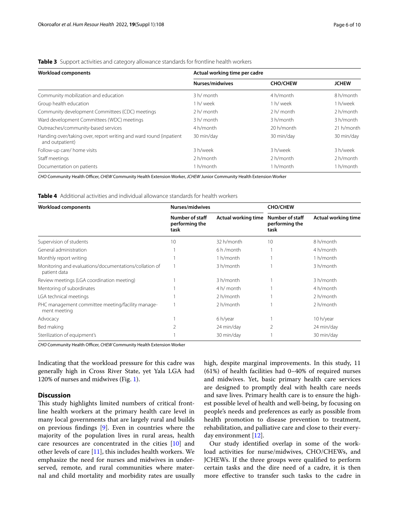| Workload components                                                                           | Actual working time per cadre |
|-----------------------------------------------------------------------------------------------|-------------------------------|
| <b>Table 3</b> Support activities and category allowance standards for normine nearly workers |                               |

<span id="page-5-0"></span>**Table 3** Support activities and category allowance standards for frontline health workers

| <b>Workload components</b>                                                             | Actual working time per cadre |                 |              |
|----------------------------------------------------------------------------------------|-------------------------------|-----------------|--------------|
|                                                                                        | Nurses/midwives               | <b>CHO/CHEW</b> | <b>JCHEW</b> |
| Community mobilization and education                                                   | 3 h/ month                    | 4 h/month       | 8 h/month    |
| Group health education                                                                 | 1 h/ week                     | 1 h/ week       | 1 h/week     |
| Community development Committees (CDC) meetings                                        | 2 h/ month                    | $2 h/m$ onth    | 2 h/month    |
| Ward development Committees (WDC) meetings                                             | 3 h/ month                    | 3 h/month       | 3 h/month    |
| Outreaches/community-based services                                                    | 4 h/month                     | 20 h/month      | 21 h/month   |
| Handing over/taking over, report writing and ward round (inpatient)<br>and outpatient) | 30 min/day                    | 30 min/day      | 30 min/day   |
| Follow-up care/ home visits                                                            | 3 h/week                      | 3 h/week        | 3 h/week     |
| Staff meetings                                                                         | 2 h/month                     | 2 h/month       | $2 h/m$ onth |
| Documentation on patients                                                              | 1 h/month                     | 1 h/month       | 1 h/month    |

*CHO* Community Health Officer, *CHEW* Community Health Extension Worker, *JCHEW* Junior Community Health Extension Worker

<span id="page-5-1"></span>**Table 4** Additional activities and individual allowance standards for health workers

| <b>Workload components</b>                                             | Nurses/midwives                           |                            | <b>CHO/CHEW</b>                           |                            |
|------------------------------------------------------------------------|-------------------------------------------|----------------------------|-------------------------------------------|----------------------------|
|                                                                        | Number of staff<br>performing the<br>task | <b>Actual working time</b> | Number of staff<br>performing the<br>task | <b>Actual working time</b> |
| Supervision of students                                                | 10                                        | 32 h/month                 | 10                                        | 8 h/month                  |
| General administration                                                 |                                           | 6 h/month                  |                                           | 4 h/month                  |
| Monthly report writing                                                 |                                           | 1 h/month                  |                                           | 1 h/month                  |
| Monitoring and evaluations/documentations/collation of<br>patient data |                                           | 3 h/month                  |                                           | 3 h/month                  |
| Review meetings (LGA coordination meeting)                             |                                           | 3 h/month                  |                                           | 3 h/month                  |
| Mentoring of subordinates                                              |                                           | 4 h/ month                 |                                           | 4 h/month                  |
| LGA technical meetings                                                 |                                           | 2 h/month                  |                                           | 2 h/month                  |
| PHC management committee meeting/facility manage-<br>ment meeting      |                                           | 2 h/month                  |                                           | 2 h/month                  |
| Advocacy                                                               |                                           | 6 h/year                   |                                           | 10 h/year                  |
| Bed making                                                             |                                           | 24 min/day                 | 2                                         | 24 min/day                 |
| Sterilization of equipment's                                           |                                           | 30 min/day                 |                                           | 30 min/day                 |

**CHO** Community Health Officer, CHEW Community Health Extension Worker

Indicating that the workload pressure for this cadre was generally high in Cross River State, yet Yala LGA had 120% of nurses and midwives (Fig. [1\)](#page-7-0).

# **Discussion**

This study highlights limited numbers of critical frontline health workers at the primary health care level in many local governments that are largely rural and builds on previous fndings [[9\]](#page-9-2). Even in countries where the majority of the population lives in rural areas, health care resources are concentrated in the cities [[10](#page-9-3)] and other levels of care [\[11](#page-9-4)], this includes health workers. We emphasize the need for nurses and midwives in underserved, remote, and rural communities where maternal and child mortality and morbidity rates are usually high, despite marginal improvements. In this study, 11 (61%) of health facilities had 0–40% of required nurses and midwives. Yet, basic primary health care services are designed to promptly deal with health care needs and save lives. Primary health care is to ensure the highest possible level of health and well-being, by focusing on people's needs and preferences as early as possible from health promotion to disease prevention to treatment, rehabilitation, and palliative care and close to their everyday environment [\[12](#page-9-5)].

Our study identifed overlap in some of the workload activities for nurse/midwives, CHO/CHEWs, and JCHEWs. If the three groups were qualifed to perform certain tasks and the dire need of a cadre, it is then more efective to transfer such tasks to the cadre in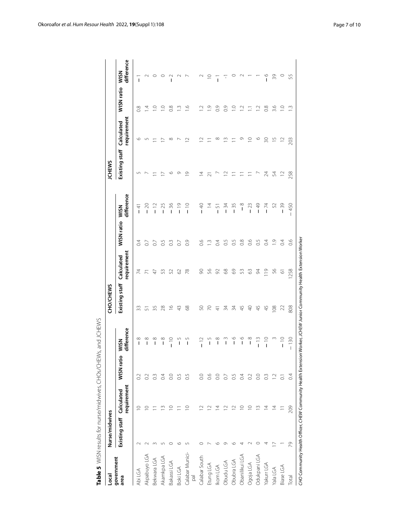<span id="page-6-0"></span>

| Local                             | Nurse/midwives |                                   |                       |                                      | CHO/CHEWS             |                           |                |                          | <b>JCHEWS</b>  |                           |                 |                           |
|-----------------------------------|----------------|-----------------------------------|-----------------------|--------------------------------------|-----------------------|---------------------------|----------------|--------------------------|----------------|---------------------------|-----------------|---------------------------|
| government<br>area                | Existing staff | requirement<br>Calculated         | WISN <sub>ratic</sub> | difference<br><b>WSN</b>             | Existing staff        | requirement<br>Calculated | WISN ratio     | difference<br><b>WSN</b> | Existing staff | requirement<br>Calculated | WISN ratio      | difference<br><b>WISN</b> |
| Abi LGA                           |                | $\circ$                           | $\overline{0}$        | ∞<br>T                               | 33                    | 24                        | 0.4            | $-4$                     | Ľ              |                           | $\frac{8}{2}$   | T                         |
| Akpabuyo LGA                      |                | $\circ$                           | $\sim$                | $\infty$<br>I                        | 5                     |                           | $\overline{0}$ | $-20$                    |                |                           | 4.              |                           |
| Bekwara LGA                       |                |                                   | $\frac{3}{2}$         | $\infty$<br>$\overline{1}$           | 35                    | $\overline{4}$            | $\overline{C}$ | $-12$                    |                |                           | Q               |                           |
| Akamkpa LGA                       |                | $\sim$                            | 0.4                   | $\infty$<br>$\mathbf{I}$             | 28                    | 53                        | 65             | $-25$                    |                |                           | Q               |                           |
| Bakassi LGA                       |                | $\subseteq$                       | $\rm ^{\circ}$        | $\frac{1}{1}$                        | $\stackrel{\circ}{=}$ | 52                        | $\frac{3}{2}$  | $-36$                    | ৩              | ∞                         | 0.8             | I                         |
| Boki LGA                          | ١C             |                                   | $\overline{0}$        | $\overline{1}$                       | 43                    | 62                        | $\overline{0}$ | $-19$                    | ᡡ              |                           | $\ddot{\omega}$ |                           |
| Calabar Munici-<br>$\overline{p}$ |                | ⊇                                 | S.O                   | 5<br>$\mathbf{I}$                    | 89                    | $\frac{8}{2}$             | 0.9            | $\frac{0}{1}$            | $\circ$        | $\scriptstyle\sim$        | $\circ$         |                           |
| Calabar South                     |                |                                   | $_{\odot}$            | $\frac{2}{1}$                        | SO,                   | $\infty$                  | 66             | $-40$                    |                | $\sim$                    | Z.              |                           |
| Etung LGA                         |                | $\mathop{^{\mathsf{2}}}\nolimits$ | 66                    | Щ<br>$\overline{\phantom{a}}$        | $\approx$             | 56                        | $\tilde{c}$    | $\overline{4}$           |                |                           | Ō.              |                           |
| Ikom LGA                          | ١C             | ⋣                                 | $\rm ^{0}$            | $\infty$<br>I                        | 4                     | 92                        | 0.4            | - 51                     |                | ∞                         | $\overline{0}$  | $\overline{1}$            |
| Obudu LGA                         | ᡋ              | $\simeq$                          | $\overline{O}$        | S<br>I                               | 34                    | 89                        | $\frac{5}{2}$  | $-34$                    |                | $\sim$                    | $\frac{6}{2}$   |                           |
| Obubra LGA                        | ١C             |                                   | 65                    | $\circ$<br>I                         | 34                    | $\mathcal{S}^{\circ}$     | 0.5            | $-35$                    |                |                           | O.              |                           |
| Obanilikui LGA                    |                | $\subseteq$                       | 0.4                   | $\circ$<br>I                         | 45                    | 53                        | 0.8            | $\frac{8}{1}$            |                | Ō                         | $\supseteq$     |                           |
| Ogoja LGA                         |                | $\supseteq$                       | $\Im$                 | $\infty$<br>$\overline{\phantom{a}}$ | $\overline{4}$        | 63                        | 66             | $-23$                    |                | $\supseteq$               | Ξ,              |                           |
| Odukpani LGA                      |                | ≅                                 | $\rm{C}$              | $\frac{3}{1}$                        | 45                    | 84                        | $\overline{0}$ | $-49$                    |                | O                         | Ņ               |                           |
| Yakurr LGA                        |                | $\overline{4}$                    | $\frac{3}{2}$         | $\frac{0}{1}$                        | 45                    | $\overline{0}$            | $\overline{0}$ | $-74$                    | 24             | 50                        | $\frac{8}{2}$   | ⊙<br>$\mathbf{I}$         |
| <b>Aala LGA</b>                   |                | 4                                 | $\Xi$                 |                                      | 108                   | SG                        | $\overline{0}$ | 52                       | 54             | 5ī                        | 3.6             | 39                        |
| Biase LGA                         |                |                                   | $\overline{\circ}$    | $\frac{1}{1}$                        | $\overline{2}$        | 5                         | $\approx$      | $-39$                    | $\overline{c}$ | $\approx$                 | $\overline{C}$  | O                         |
| Total                             | 29             | 209                               | $\overline{0}$        | $-130$                               | 808                   | 258                       | $\frac{6}{10}$ | 450<br>$\overline{1}$    | 258            | 203                       | m.              | 55                        |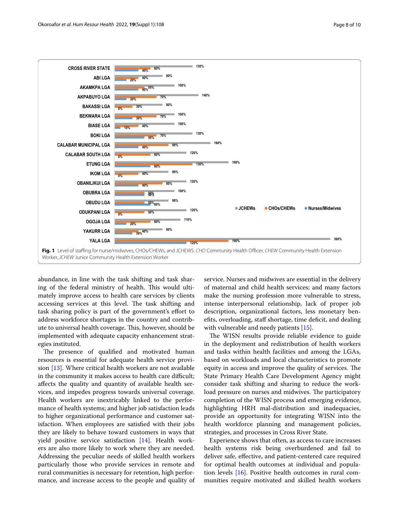

<span id="page-7-0"></span>abundance, in line with the task shifting and task sharing of the federal ministry of health. This would ultimately improve access to health care services by clients accessing services at this level. The task shifting and task sharing policy is part of the government's efort to address workforce shortages in the country and contribute to universal health coverage. This, however, should be implemented with adequate capacity enhancement strategies instituted.

The presence of qualified and motivated human resources is essential for adequate health service provision [[13\]](#page-9-6). Where critical health workers are not available in the community it makes access to health care difficult; afects the quality and quantity of available health services, and impedes progress towards universal coverage. Health workers are inextricably linked to the performance of health systems; and higher job satisfaction leads to higher organizational performance and customer satisfaction. When employees are satisfed with their jobs they are likely to behave toward customers in ways that yield positive service satisfaction [\[14\]](#page-9-7). Health workers are also more likely to work where they are needed. Addressing the peculiar needs of skilled health workers particularly those who provide services in remote and rural communities is necessary for retention, high performance, and increase access to the people and quality of service. Nurses and midwives are essential in the delivery of maternal and child health services; and many factors make the nursing profession more vulnerable to stress, intense interpersonal relationship, lack of proper job description, organizational factors, less monetary benefts, overloading, staf shortage, time defcit, and dealing with vulnerable and needy patients [[15\]](#page-9-8).

The WISN results provide reliable evidence to guide in the deployment and redistribution of health workers and tasks within health facilities and among the LGAs, based on workloads and local characteristics to promote equity in access and improve the quality of services. The State Primary Health Care Development Agency might consider task shifting and sharing to reduce the workload pressure on nurses and midwives. The participatory completion of the WISN process and emerging evidence, highlighting HRH mal-distribution and inadequacies, provide an opportunity for integrating WISN into the health workforce planning and management policies, strategies, and processes in Cross River State.

Experience shows that often, as access to care increases health systems risk being overburdened and fail to deliver safe, efective, and patient-centered care required for optimal health outcomes at individual and population levels [\[16](#page-9-9)]. Positive health outcomes in rural communities require motivated and skilled health workers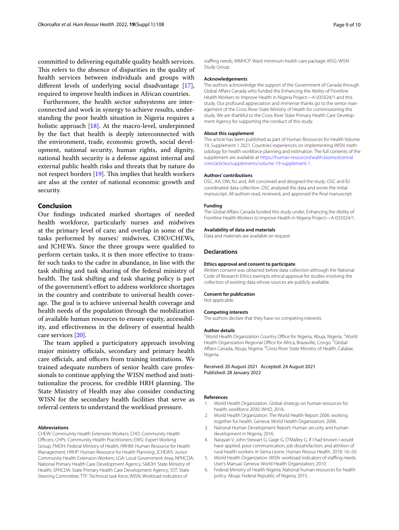committed to delivering equitable quality health services. This refers to the absence of disparities in the quality of health services between individuals and groups with diferent levels of underlying social disadvantage [\[17](#page-9-10)], required to improve health indices in African countries.

Furthermore, the health sector subsystems are interconnected and work in synergy to achieve results, understanding the poor health situation in Nigeria requires a holistic approach [[18\]](#page-9-11). At the macro-level, underpinned by the fact that health is deeply interconnected with the environment, trade, economic growth, social development, national security, human rights, and dignity, national health security is a defense against internal and external public health risks and threats that by nature do not respect borders  $[19]$ . This implies that health workers are also at the center of national economic growth and security.

## **Conclusion**

Our fndings indicated marked shortages of needed health workforce, particularly nurses and midwives at the primary level of care; and overlap in some of the tasks performed by nurses/ midwives, CHO/CHEWs, and JCHEWs. Since the three groups were qualifed to perform certain tasks, it is then more efective to transfer such tasks to the cadre in abundance, in line with the task shifting and task sharing of the federal ministry of health. The task shifting and task sharing policy is part of the government's efort to address workforce shortages in the country and contribute to universal health coverage. The goal is to achieve universal health coverage and health needs of the population through the mobilization of available human resources to ensure equity, accessibility, and efectiveness in the delivery of essential health care services [[20\]](#page-9-13).

The team applied a participatory approach involving major ministry officials, secondary and primary health care officials, and officers from training institutions. We trained adequate numbers of senior health care professionals to continue applying the WISN method and institutionalize the process, for credible HRH planning. The State Ministry of Health may also consider conducting WISN for the secondary health facilities that serve as referral centers to understand the workload pressure.

## **Abbreviations**

CHEW: Community Health Extension Workers; CHO: Community Health Officers; CHPs: Community Health Practitioners; EWG: Expert Working Group; FMOH: Federal Ministry of Health; HRHM: Human Resource for Health Management; HRHP: Human Resource for Health Planning; JCHEWS: Junior Community Health Extension Workers; LGA: Local Government Area; NPHCDA: National Primary Health Care Development Agency; SMOH: State Ministry of Health; SPHCDA: State Primary Health Care Development Agency; SST: State Steering Committee; TTF: Technical task force; WISN: Workload indicators of

staffing needs; WMHCP: Ward minimum health care package; WSG: WISN Study Group.

#### **Acknowledgements**

The authors acknowledge the support of the Government of Canada through Global Afairs Canada who funded the Enhancing the Ability of Frontline Health Workers to Improve Health in Nigeria Project—A-035024/1 and this study. Our profound appreciation and immense thanks go to the senior management of the Cross River State Ministry of Health for commissioning this study. We are thankful to the Cross River State Primary Health Care Development Agency for supporting the conduct of this study.

#### **About this supplement**

This article has been published as part of Human Resources for Health Volume 19, Supplement 1 2021: Countries' experiences on implementing WISN methodology for health workforce planning and estimation. The full contents of the supplement are available at [https://human-resourceshealth.biomedcentral.](https://human-resourceshealth.biomedcentral.com/articles/supplements/volume-19-supplement-1) [com/articles/supplements/volume-19-supplement-1](https://human-resourceshealth.biomedcentral.com/articles/supplements/volume-19-supplement-1).

#### **Authors' contributions**

OSC, AA, OM, NJ, and, AW conceived and designed the study. OSC and BJ coordinated data collection. OSC analyzed the data and wrote the initial manuscript. All authors read, reviewed, and approved the fnal manuscript.

#### **Funding**

The Global Afairs Canada funded this study under, Enhancing the Ability of Frontline Health Workers to Improve Health in Nigeria Project—A-035024/1.

#### **Availability of data and materials**

Data and materials are available on request.

#### **Declarations**

#### **Ethics approval and consent to participate**

Written consent was obtained before data collection although the National Code of Research Ethics exempts ethical approval for studies involving the collection of existing data whose sources are publicly available.

#### **Consent for publication**

Not applicable.

#### **Competing interests**

The authors declare that they have no competing interests.

#### **Author details**

<sup>1</sup> World Health Organization Country Office for Nigeria, Abuja, Nigeria. <sup>2</sup> World Health Organization Regional Office for Africa, Brazaville, Congo.<sup>3</sup>Global Affairs Canada, Abuja, Nigeria. <sup>4</sup> Cross River State Ministry of Health, Calabar, Nigeria.

Received: 20 August 2021 Accepted: 24 August 2021 Published: 28 January 2022

#### **References**

- <span id="page-8-0"></span>1. World Health Organization. Global strategy on human resources for health: workforce 2030. WHO, 2016.
- <span id="page-8-1"></span>2. World Health Organization. The World Health Report 2006: working together for health. Geneva: World Health Organization; 2006.
- <span id="page-8-2"></span>3. National Human Development Report: Human security and human development in Nigeria; 2016.
- <span id="page-8-3"></span>Narayan V, John-Stewart G, Gage G, O'Malley G. If I had known I would have applied: poor communication, job dissatisfaction, and attrition of rural health workers in Sierra Leone. Human Resour Health. 2018: 16–50.
- <span id="page-8-4"></span>5. World Health Organization. WISN: workload indicators of stafng needs. User's Manual. Geneva: World Health Organization; 2010.
- <span id="page-8-5"></span>6. Federal Ministry of Health Nigeria. National human resources for health policy. Abuja: Federal Republic of Nigeria; 2015.